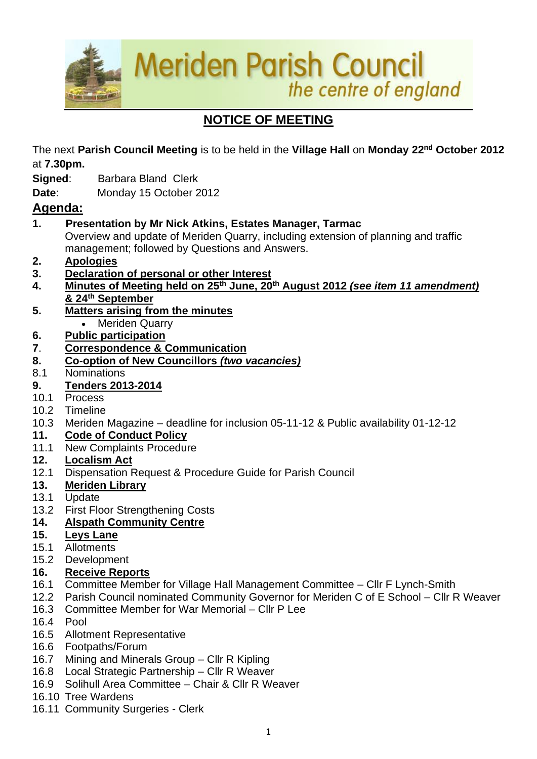**Meriden Parish Council** the centre of england **START** 

# **NOTICE OF MEETING**

The next **Parish Council Meeting** is to be held in the **Village Hall** on **Monday 22nd October 2012**  at **7.30pm.**

- **Signed**: Barbara Bland Clerk
- **Date**: Monday 15 October 2012

# **Agenda:**

**1. Presentation by Mr Nick Atkins, Estates Manager, Tarmac**

Overview and update of Meriden Quarry, including extension of planning and traffic management; followed by Questions and Answers.

- **2. Apologies**
- **3. Declaration of personal or other Interest**
- **4. Minutes of Meeting held on 25th June, 20 th August 2012** *(see item 11 amendment)* **& 24th September**
- **5. Matters arising from the minutes** • Meriden Quarry
- **6. Public participation**
- **7**. **Correspondence & Communication**
- **8. Co-option of New Councillors** *(two vacancies)*
- 8.1 Nominations

# **9. Tenders 2013-2014**

- 10.1 Process
- 10.2 Timeline
- 10.3 Meriden Magazine deadline for inclusion 05-11-12 & Public availability 01-12-12

# **11. Code of Conduct Policy**

- 11.1 New Complaints Procedure
- **12. Localism Act**
- 12.1 Dispensation Request & Procedure Guide for Parish Council
- **13. Meriden Library**
- 13.1 Update
- 13.2 First Floor Strengthening Costs

## **14. Alspath Community Centre**

- **15. Leys Lane**
- 15.1 Allotments
- 15.2 Development

## **16. Receive Reports**

- 16.1 Committee Member for Village Hall Management Committee Cllr F Lynch-Smith
- 12.2 Parish Council nominated Community Governor for Meriden C of E School Cllr R Weaver
- 16.3 Committee Member for War Memorial Cllr P Lee
- 16.4 Pool
- 16.5 Allotment Representative
- 16.6 Footpaths/Forum
- 16.7 Mining and Minerals Group Cllr R Kipling
- 16.8 Local Strategic Partnership Cllr R Weaver
- 16.9 Solihull Area Committee Chair & Cllr R Weaver
- 16.10 Tree Wardens
- 16.11 Community Surgeries Clerk